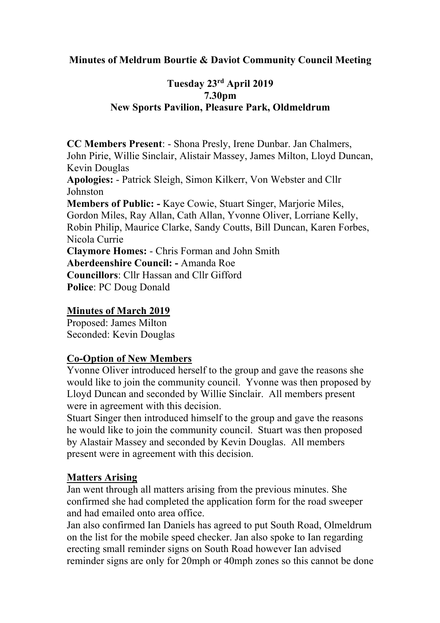### **Minutes of Meldrum Bourtie & Daviot Community Council Meeting**

## **Tuesday 23rd April 2019 7.30pm New Sports Pavilion, Pleasure Park, Oldmeldrum**

**CC Members Present**: - Shona Presly, Irene Dunbar. Jan Chalmers, John Pirie, Willie Sinclair, Alistair Massey, James Milton, Lloyd Duncan, Kevin Douglas **Apologies:** - Patrick Sleigh, Simon Kilkerr, Von Webster and Cllr Johnston **Members of Public: -** Kaye Cowie, Stuart Singer, Marjorie Miles, Gordon Miles, Ray Allan, Cath Allan, Yvonne Oliver, Lorriane Kelly, Robin Philip, Maurice Clarke, Sandy Coutts, Bill Duncan, Karen Forbes, Nicola Currie **Claymore Homes:** - Chris Forman and John Smith **Aberdeenshire Council: -** Amanda Roe **Councillors**: Cllr Hassan and Cllr Gifford **Police**: PC Doug Donald

### **Minutes of March 2019**

Proposed: James Milton Seconded: Kevin Douglas

### **Co-Option of New Members**

Yvonne Oliver introduced herself to the group and gave the reasons she would like to join the community council. Yvonne was then proposed by Lloyd Duncan and seconded by Willie Sinclair. All members present were in agreement with this decision.

Stuart Singer then introduced himself to the group and gave the reasons he would like to join the community council. Stuart was then proposed by Alastair Massey and seconded by Kevin Douglas. All members present were in agreement with this decision.

#### **Matters Arising**

Jan went through all matters arising from the previous minutes. She confirmed she had completed the application form for the road sweeper and had emailed onto area office.

Jan also confirmed Ian Daniels has agreed to put South Road, Olmeldrum on the list for the mobile speed checker. Jan also spoke to Ian regarding erecting small reminder signs on South Road however Ian advised reminder signs are only for 20mph or 40mph zones so this cannot be done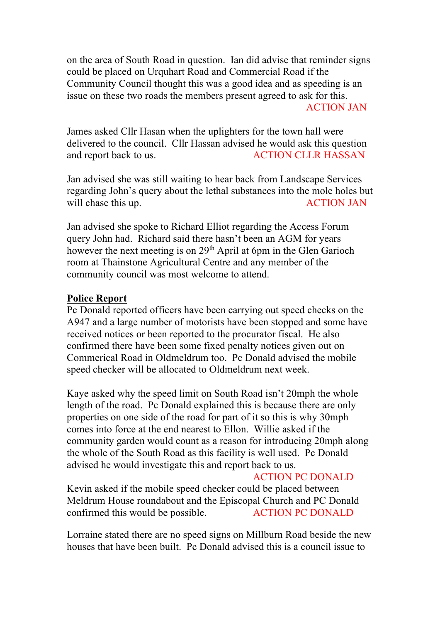on the area of South Road in question. Ian did advise that reminder signs could be placed on Urquhart Road and Commercial Road if the Community Council thought this was a good idea and as speeding is an issue on these two roads the members present agreed to ask for this. ACTION JAN

James asked Cllr Hasan when the uplighters for the town hall were delivered to the council. Cllr Hassan advised he would ask this question and report back to us. ACTION CLLR HASSAN

Jan advised she was still waiting to hear back from Landscape Services regarding John's query about the lethal substances into the mole holes but will chase this up.  $\overline{ACTION JAN}$ 

Jan advised she spoke to Richard Elliot regarding the Access Forum query John had. Richard said there hasn't been an AGM for years however the next meeting is on 29<sup>th</sup> April at 6pm in the Glen Garioch room at Thainstone Agricultural Centre and any member of the community council was most welcome to attend.

#### **Police Report**

Pc Donald reported officers have been carrying out speed checks on the A947 and a large number of motorists have been stopped and some have received notices or been reported to the procurator fiscal. He also confirmed there have been some fixed penalty notices given out on Commerical Road in Oldmeldrum too. Pc Donald advised the mobile speed checker will be allocated to Oldmeldrum next week.

Kaye asked why the speed limit on South Road isn't 20mph the whole length of the road. Pc Donald explained this is because there are only properties on one side of the road for part of it so this is why 30mph comes into force at the end nearest to Ellon. Willie asked if the community garden would count as a reason for introducing 20mph along the whole of the South Road as this facility is well used. Pc Donald advised he would investigate this and report back to us.

#### ACTION PC DONALD

Kevin asked if the mobile speed checker could be placed between Meldrum House roundabout and the Episcopal Church and PC Donald confirmed this would be possible. ACTION PC DONALD

Lorraine stated there are no speed signs on Millburn Road beside the new houses that have been built. Pc Donald advised this is a council issue to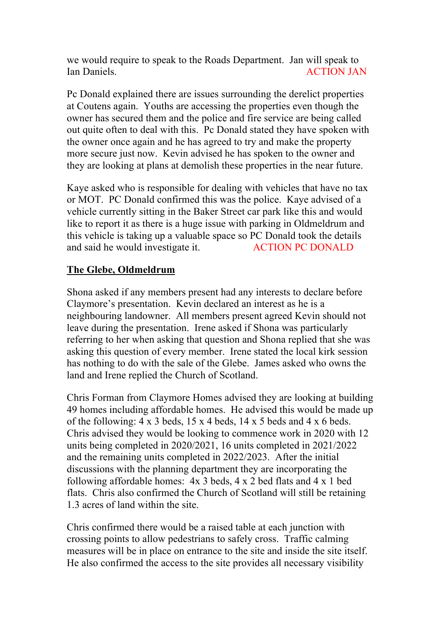we would require to speak to the Roads Department. Jan will speak to Ian Daniels. ACTION JAN

Pc Donald explained there are issues surrounding the derelict properties at Coutens again. Youths are accessing the properties even though the owner has secured them and the police and fire service are being called out quite often to deal with this. Pc Donald stated they have spoken with the owner once again and he has agreed to try and make the property more secure just now. Kevin advised he has spoken to the owner and they are looking at plans at demolish these properties in the near future.

Kaye asked who is responsible for dealing with vehicles that have no tax or MOT. PC Donald confirmed this was the police. Kaye advised of a vehicle currently sitting in the Baker Street car park like this and would like to report it as there is a huge issue with parking in Oldmeldrum and this vehicle is taking up a valuable space so PC Donald took the details and said he would investigate it. ACTION PC DONALD

### **The Glebe, Oldmeldrum**

Shona asked if any members present had any interests to declare before Claymore's presentation. Kevin declared an interest as he is a neighbouring landowner. All members present agreed Kevin should not leave during the presentation. Irene asked if Shona was particularly referring to her when asking that question and Shona replied that she was asking this question of every member. Irene stated the local kirk session has nothing to do with the sale of the Glebe. James asked who owns the land and Irene replied the Church of Scotland.

Chris Forman from Claymore Homes advised they are looking at building 49 homes including affordable homes. He advised this would be made up of the following:  $4 \times 3$  beds,  $15 \times 4$  beds,  $14 \times 5$  beds and  $4 \times 6$  beds. Chris advised they would be looking to commence work in 2020 with 12 units being completed in 2020/2021, 16 units completed in 2021/2022 and the remaining units completed in 2022/2023. After the initial discussions with the planning department they are incorporating the following affordable homes: 4x 3 beds, 4 x 2 bed flats and 4 x 1 bed flats. Chris also confirmed the Church of Scotland will still be retaining 1.3 acres of land within the site.

Chris confirmed there would be a raised table at each junction with crossing points to allow pedestrians to safely cross. Traffic calming measures will be in place on entrance to the site and inside the site itself. He also confirmed the access to the site provides all necessary visibility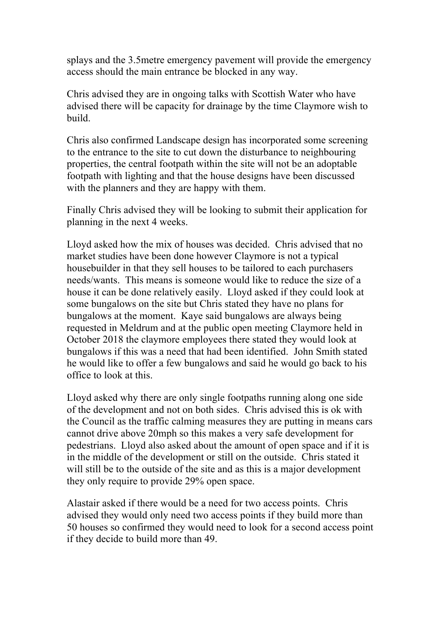splays and the 3.5metre emergency pavement will provide the emergency access should the main entrance be blocked in any way.

Chris advised they are in ongoing talks with Scottish Water who have advised there will be capacity for drainage by the time Claymore wish to build.

Chris also confirmed Landscape design has incorporated some screening to the entrance to the site to cut down the disturbance to neighbouring properties, the central footpath within the site will not be an adoptable footpath with lighting and that the house designs have been discussed with the planners and they are happy with them.

Finally Chris advised they will be looking to submit their application for planning in the next 4 weeks.

Lloyd asked how the mix of houses was decided. Chris advised that no market studies have been done however Claymore is not a typical housebuilder in that they sell houses to be tailored to each purchasers needs/wants. This means is someone would like to reduce the size of a house it can be done relatively easily. Lloyd asked if they could look at some bungalows on the site but Chris stated they have no plans for bungalows at the moment. Kaye said bungalows are always being requested in Meldrum and at the public open meeting Claymore held in October 2018 the claymore employees there stated they would look at bungalows if this was a need that had been identified. John Smith stated he would like to offer a few bungalows and said he would go back to his office to look at this.

Lloyd asked why there are only single footpaths running along one side of the development and not on both sides. Chris advised this is ok with the Council as the traffic calming measures they are putting in means cars cannot drive above 20mph so this makes a very safe development for pedestrians. Lloyd also asked about the amount of open space and if it is in the middle of the development or still on the outside. Chris stated it will still be to the outside of the site and as this is a major development they only require to provide 29% open space.

Alastair asked if there would be a need for two access points. Chris advised they would only need two access points if they build more than 50 houses so confirmed they would need to look for a second access point if they decide to build more than 49.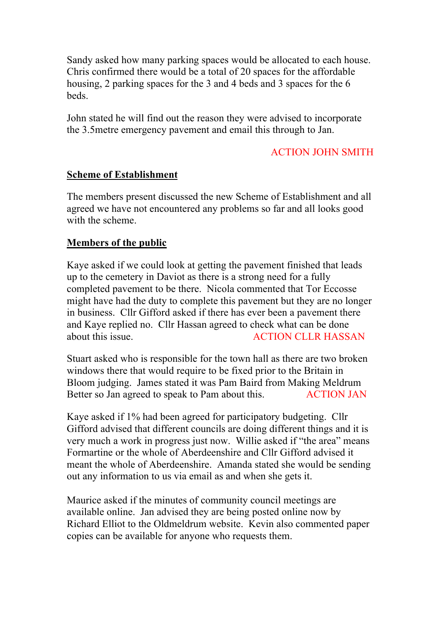Sandy asked how many parking spaces would be allocated to each house. Chris confirmed there would be a total of 20 spaces for the affordable housing, 2 parking spaces for the 3 and 4 beds and 3 spaces for the 6 **beds** 

John stated he will find out the reason they were advised to incorporate the 3.5metre emergency pavement and email this through to Jan.

## ACTION JOHN SMITH

### **Scheme of Establishment**

The members present discussed the new Scheme of Establishment and all agreed we have not encountered any problems so far and all looks good with the scheme.

## **Members of the public**

Kaye asked if we could look at getting the pavement finished that leads up to the cemetery in Daviot as there is a strong need for a fully completed pavement to be there. Nicola commented that Tor Eccosse might have had the duty to complete this pavement but they are no longer in business. Cllr Gifford asked if there has ever been a pavement there and Kaye replied no. Cllr Hassan agreed to check what can be done about this issue. ACTION CLLR HASSAN

Stuart asked who is responsible for the town hall as there are two broken windows there that would require to be fixed prior to the Britain in Bloom judging. James stated it was Pam Baird from Making Meldrum Better so Jan agreed to speak to Pam about this. ACTION JAN

Kaye asked if 1% had been agreed for participatory budgeting. Cllr Gifford advised that different councils are doing different things and it is very much a work in progress just now. Willie asked if "the area" means Formartine or the whole of Aberdeenshire and Cllr Gifford advised it meant the whole of Aberdeenshire. Amanda stated she would be sending out any information to us via email as and when she gets it.

Maurice asked if the minutes of community council meetings are available online. Jan advised they are being posted online now by Richard Elliot to the Oldmeldrum website. Kevin also commented paper copies can be available for anyone who requests them.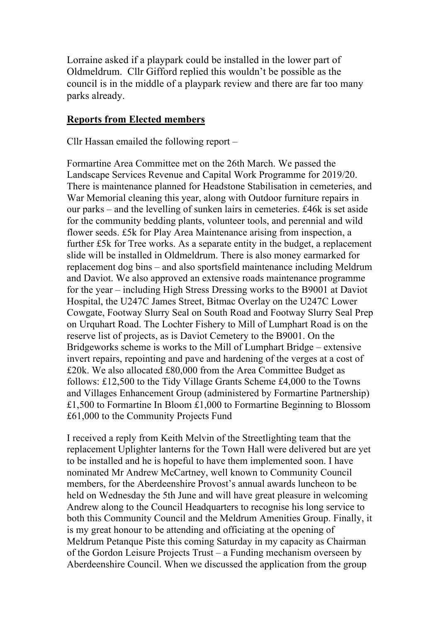Lorraine asked if a playpark could be installed in the lower part of Oldmeldrum. Cllr Gifford replied this wouldn't be possible as the council is in the middle of a playpark review and there are far too many parks already.

#### **Reports from Elected members**

Cllr Hassan emailed the following report –

Formartine Area Committee met on the 26th March. We passed the Landscape Services Revenue and Capital Work Programme for 2019/20. There is maintenance planned for Headstone Stabilisation in cemeteries, and War Memorial cleaning this year, along with Outdoor furniture repairs in our parks – and the levelling of sunken lairs in cemeteries. £46k is set aside for the community bedding plants, volunteer tools, and perennial and wild flower seeds. £5k for Play Area Maintenance arising from inspection, a further £5k for Tree works. As a separate entity in the budget, a replacement slide will be installed in Oldmeldrum. There is also money earmarked for replacement dog bins – and also sportsfield maintenance including Meldrum and Daviot. We also approved an extensive roads maintenance programme for the year – including High Stress Dressing works to the B9001 at Daviot Hospital, the U247C James Street, Bitmac Overlay on the U247C Lower Cowgate, Footway Slurry Seal on South Road and Footway Slurry Seal Prep on Urquhart Road. The Lochter Fishery to Mill of Lumphart Road is on the reserve list of projects, as is Daviot Cemetery to the B9001. On the Bridgeworks scheme is works to the Mill of Lumphart Bridge – extensive invert repairs, repointing and pave and hardening of the verges at a cost of £20k. We also allocated £80,000 from the Area Committee Budget as follows: £12,500 to the Tidy Village Grants Scheme £4,000 to the Towns and Villages Enhancement Group (administered by Formartine Partnership) £1,500 to Formartine In Bloom £1,000 to Formartine Beginning to Blossom £61,000 to the Community Projects Fund

I received a reply from Keith Melvin of the Streetlighting team that the replacement Uplighter lanterns for the Town Hall were delivered but are yet to be installed and he is hopeful to have them implemented soon. I have nominated Mr Andrew McCartney, well known to Community Council members, for the Aberdeenshire Provost's annual awards luncheon to be held on Wednesday the 5th June and will have great pleasure in welcoming Andrew along to the Council Headquarters to recognise his long service to both this Community Council and the Meldrum Amenities Group. Finally, it is my great honour to be attending and officiating at the opening of Meldrum Petanque Piste this coming Saturday in my capacity as Chairman of the Gordon Leisure Projects Trust – a Funding mechanism overseen by Aberdeenshire Council. When we discussed the application from the group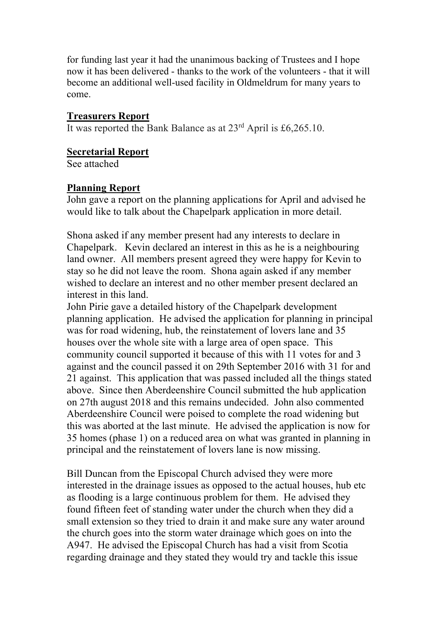for funding last year it had the unanimous backing of Trustees and I hope now it has been delivered - thanks to the work of the volunteers - that it will become an additional well-used facility in Oldmeldrum for many years to come.

#### **Treasurers Report**

It was reported the Bank Balance as at  $23<sup>rd</sup>$  April is £6,265.10.

#### **Secretarial Report**

See attached

#### **Planning Report**

John gave a report on the planning applications for April and advised he would like to talk about the Chapelpark application in more detail.

Shona asked if any member present had any interests to declare in Chapelpark. Kevin declared an interest in this as he is a neighbouring land owner. All members present agreed they were happy for Kevin to stay so he did not leave the room. Shona again asked if any member wished to declare an interest and no other member present declared an interest in this land.

John Pirie gave a detailed history of the Chapelpark development planning application. He advised the application for planning in principal was for road widening, hub, the reinstatement of lovers lane and 35 houses over the whole site with a large area of open space. This community council supported it because of this with 11 votes for and 3 against and the council passed it on 29th September 2016 with 31 for and 21 against. This application that was passed included all the things stated above. Since then Aberdeenshire Council submitted the hub application on 27th august 2018 and this remains undecided. John also commented Aberdeenshire Council were poised to complete the road widening but this was aborted at the last minute. He advised the application is now for 35 homes (phase 1) on a reduced area on what was granted in planning in principal and the reinstatement of lovers lane is now missing.

Bill Duncan from the Episcopal Church advised they were more interested in the drainage issues as opposed to the actual houses, hub etc as flooding is a large continuous problem for them. He advised they found fifteen feet of standing water under the church when they did a small extension so they tried to drain it and make sure any water around the church goes into the storm water drainage which goes on into the A947. He advised the Episcopal Church has had a visit from Scotia regarding drainage and they stated they would try and tackle this issue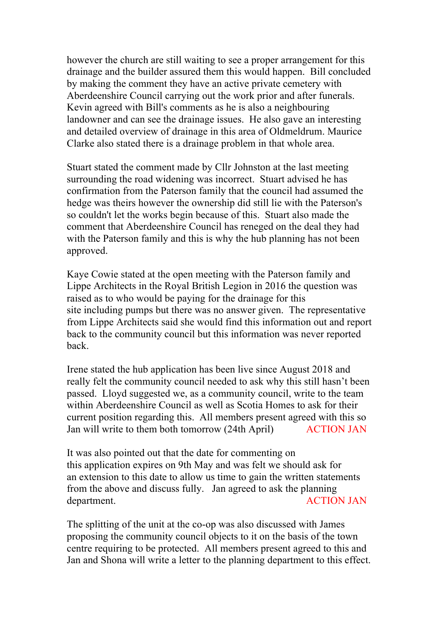however the church are still waiting to see a proper arrangement for this drainage and the builder assured them this would happen. Bill concluded by making the comment they have an active private cemetery with Aberdeenshire Council carrying out the work prior and after funerals. Kevin agreed with Bill's comments as he is also a neighbouring landowner and can see the drainage issues. He also gave an interesting and detailed overview of drainage in this area of Oldmeldrum. Maurice Clarke also stated there is a drainage problem in that whole area.

Stuart stated the comment made by Cllr Johnston at the last meeting surrounding the road widening was incorrect. Stuart advised he has confirmation from the Paterson family that the council had assumed the hedge was theirs however the ownership did still lie with the Paterson's so couldn't let the works begin because of this. Stuart also made the comment that Aberdeenshire Council has reneged on the deal they had with the Paterson family and this is why the hub planning has not been approved.

Kaye Cowie stated at the open meeting with the Paterson family and Lippe Architects in the Royal British Legion in 2016 the question was raised as to who would be paying for the drainage for this site including pumps but there was no answer given. The representative from Lippe Architects said she would find this information out and report back to the community council but this information was never reported back.

Irene stated the hub application has been live since August 2018 and really felt the community council needed to ask why this still hasn't been passed. Lloyd suggested we, as a community council, write to the team within Aberdeenshire Council as well as Scotia Homes to ask for their current position regarding this. All members present agreed with this so Jan will write to them both tomorrow (24th April) ACTION JAN

It was also pointed out that the date for commenting on this application expires on 9th May and was felt we should ask for an extension to this date to allow us time to gain the written statements from the above and discuss fully. Jan agreed to ask the planning department. ACTION JAN

The splitting of the unit at the co-op was also discussed with James proposing the community council objects to it on the basis of the town centre requiring to be protected. All members present agreed to this and Jan and Shona will write a letter to the planning department to this effect.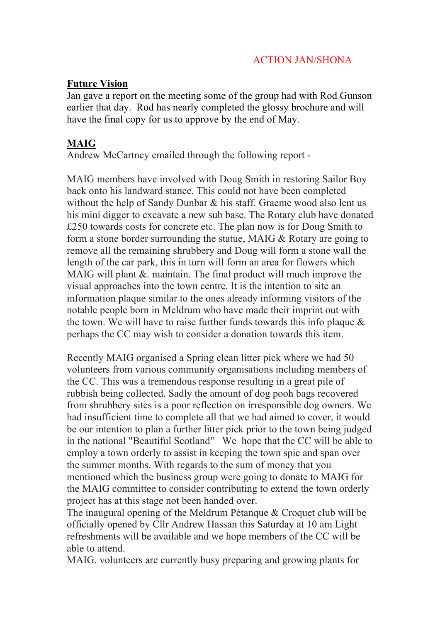## ACTION JAN/SHONA

### **Future Vision**

Jan gave a report on the meeting some of the group had with Rod Gunson earlier that day. Rod has nearly completed the glossy brochure and will have the final copy for us to approve by the end of May.

## **MAIG**

Andrew McCartney emailed through the following report -

MAIG members have involved with Doug Smith in restoring Sailor Boy back onto his landward stance. This could not have been completed without the help of Sandy Dunbar & his staff. Graeme wood also lent us his mini digger to excavate a new sub base. The Rotary club have donated £250 towards costs for concrete etc. The plan now is for Doug Smith to form a stone border surrounding the statue, MAIG & Rotary are going to remove all the remaining shrubbery and Doug will form a stone wall the length of the car park, this in turn will form an area for flowers which MAIG will plant &. maintain. The final product will much improve the visual approaches into the town centre. It is the intention to site an information plaque similar to the ones already informing visitors of the notable people born in Meldrum who have made their imprint out with the town. We will have to raise further funds towards this info plaque & perhaps the CC may wish to consider a donation towards this item.

Recently MAIG organised a Spring clean litter pick where we had 50 volunteers from various community organisations including members of the CC. This was a tremendous response resulting in a great pile of rubbish being collected. Sadly the amount of dog pooh bags recovered from shrubbery sites is a poor reflection on irresponsible dog owners. We had insufficient time to complete all that we had aimed to cover, it would be our intention to plan a further litter pick prior to the town being judged in the national "Beautiful Scotland" We hope that the CC will be able to employ a town orderly to assist in keeping the town spic and span over the summer months. With regards to the sum of money that you mentioned which the business group were going to donate to MAIG for the MAIG committee to consider contributing to extend the town orderly project has at this stage not been handed over.

The inaugural opening of the Meldrum Pétanque & Croquet club will be officially opened by Cllr Andrew Hassan this Saturday at 10 am Light refreshments will be available and we hope members of the CC will be able to attend.

MAIG. volunteers are currently busy preparing and growing plants for